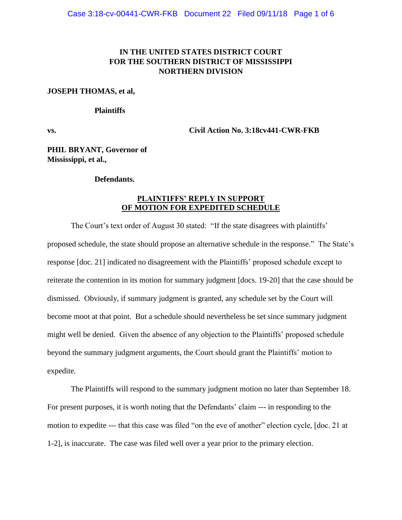## **IN THE UNITED STATES DISTRICT COURT FOR THE SOUTHERN DISTRICT OF MISSISSIPPI NORTHERN DIVISION**

### **JOSEPH THOMAS, et al,**

#### **Plaintiffs**

**vs. Civil Action No. 3:18cv441-CWR-FKB**

**PHIL BRYANT, Governor of Mississippi, et al.,**

### **Defendants.**

### **PLAINTIFFS' REPLY IN SUPPORT OF MOTION FOR EXPEDITED SCHEDULE**

The Court's text order of August 30 stated: "If the state disagrees with plaintiffs' proposed schedule, the state should propose an alternative schedule in the response." The State's response [doc. 21] indicated no disagreement with the Plaintiffs' proposed schedule except to reiterate the contention in its motion for summary judgment [docs. 19-20] that the case should be dismissed. Obviously, if summary judgment is granted, any schedule set by the Court will become moot at that point. But a schedule should nevertheless be set since summary judgment might well be denied. Given the absence of any objection to the Plaintiffs' proposed schedule beyond the summary judgment arguments, the Court should grant the Plaintiffs' motion to expedite.

The Plaintiffs will respond to the summary judgment motion no later than September 18. For present purposes, it is worth noting that the Defendants' claim --- in responding to the motion to expedite --- that this case was filed "on the eve of another" election cycle, [doc. 21 at 1-2], is inaccurate. The case was filed well over a year prior to the primary election.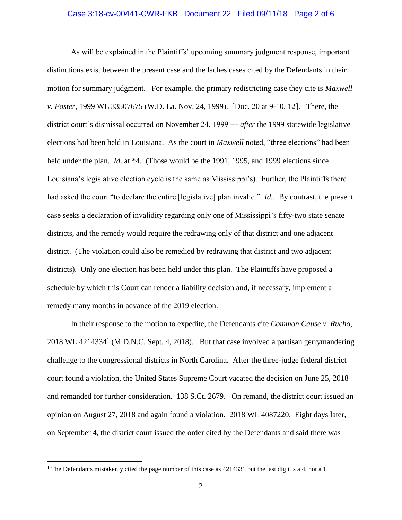## Case 3:18-cv-00441-CWR-FKB Document 22 Filed 09/11/18 Page 2 of 6

As will be explained in the Plaintiffs' upcoming summary judgment response, important distinctions exist between the present case and the laches cases cited by the Defendants in their motion for summary judgment. For example, the primary redistricting case they cite is *Maxwell v. Foster,* 1999 WL 33507675 (W.D. La. Nov. 24, 1999). [Doc. 20 at 9-10, 12]. There, the district court's dismissal occurred on November 24, 1999 --- *after* the 1999 statewide legislative elections had been held in Louisiana. As the court in *Maxwell* noted, "three elections" had been held under the plan. *Id.* at \*4. (Those would be the 1991, 1995, and 1999 elections since Louisiana's legislative election cycle is the same as Mississippi's). Further, the Plaintiffs there had asked the court "to declare the entire [legislative] plan invalid." *Id.*. By contrast, the present case seeks a declaration of invalidity regarding only one of Mississippi's fifty-two state senate districts, and the remedy would require the redrawing only of that district and one adjacent district. (The violation could also be remedied by redrawing that district and two adjacent districts). Only one election has been held under this plan. The Plaintiffs have proposed a schedule by which this Court can render a liability decision and, if necessary, implement a remedy many months in advance of the 2019 election.

In their response to the motion to expedite, the Defendants cite *Common Cause v. Rucho,*  2018 WL 4214334<sup>1</sup> (M.D.N.C. Sept. 4, 2018). But that case involved a partisan gerrymandering challenge to the congressional districts in North Carolina. After the three-judge federal district court found a violation, the United States Supreme Court vacated the decision on June 25, 2018 and remanded for further consideration. 138 S.Ct. 2679. On remand, the district court issued an opinion on August 27, 2018 and again found a violation. 2018 WL 4087220. Eight days later, on September 4, the district court issued the order cited by the Defendants and said there was

 $\overline{a}$ 

<sup>&</sup>lt;sup>1</sup> The Defendants mistakenly cited the page number of this case as 4214331 but the last digit is a 4, not a 1.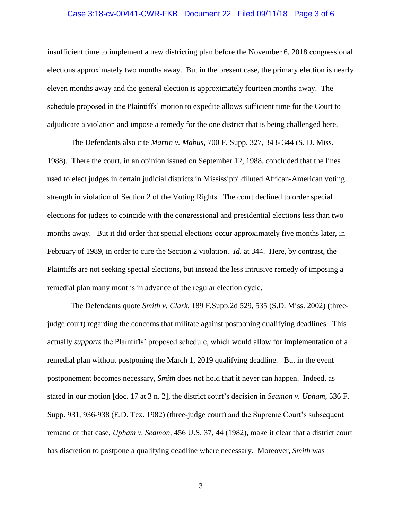### Case 3:18-cv-00441-CWR-FKB Document 22 Filed 09/11/18 Page 3 of 6

insufficient time to implement a new districting plan before the November 6, 2018 congressional elections approximately two months away. But in the present case, the primary election is nearly eleven months away and the general election is approximately fourteen months away. The schedule proposed in the Plaintiffs' motion to expedite allows sufficient time for the Court to adjudicate a violation and impose a remedy for the one district that is being challenged here.

The Defendants also cite *Martin v. Mabus*, 700 F. Supp. 327, 343- 344 (S. D. Miss. 1988). There the court, in an opinion issued on September 12, 1988, concluded that the lines used to elect judges in certain judicial districts in Mississippi diluted African-American voting strength in violation of Section 2 of the Voting Rights. The court declined to order special elections for judges to coincide with the congressional and presidential elections less than two months away. But it did order that special elections occur approximately five months later, in February of 1989, in order to cure the Section 2 violation. *Id.* at 344. Here, by contrast, the Plaintiffs are not seeking special elections, but instead the less intrusive remedy of imposing a remedial plan many months in advance of the regular election cycle.

The Defendants quote *Smith v. Clark*, 189 F.Supp.2d 529, 535 (S.D. Miss. 2002) (threejudge court) regarding the concerns that militate against postponing qualifying deadlines. This actually *supports* the Plaintiffs' proposed schedule, which would allow for implementation of a remedial plan without postponing the March 1, 2019 qualifying deadline. But in the event postponement becomes necessary, *Smith* does not hold that it never can happen. Indeed, as stated in our motion [doc. 17 at 3 n. 2], the district court's decision in *Seamon v. Upham*, 536 F. Supp. 931, 936-938 (E.D. Tex. 1982) (three-judge court) and the Supreme Court's subsequent remand of that case, *Upham v. Seamon,* 456 U.S. 37, 44 (1982), make it clear that a district court has discretion to postpone a qualifying deadline where necessary. Moreover, *Smith* was

3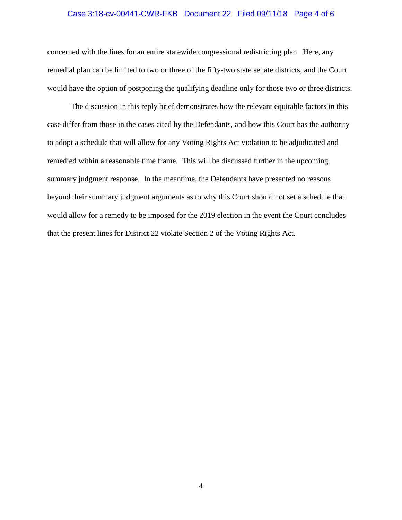### Case 3:18-cv-00441-CWR-FKB Document 22 Filed 09/11/18 Page 4 of 6

concerned with the lines for an entire statewide congressional redistricting plan. Here, any remedial plan can be limited to two or three of the fifty-two state senate districts, and the Court would have the option of postponing the qualifying deadline only for those two or three districts.

The discussion in this reply brief demonstrates how the relevant equitable factors in this case differ from those in the cases cited by the Defendants, and how this Court has the authority to adopt a schedule that will allow for any Voting Rights Act violation to be adjudicated and remedied within a reasonable time frame. This will be discussed further in the upcoming summary judgment response. In the meantime, the Defendants have presented no reasons beyond their summary judgment arguments as to why this Court should not set a schedule that would allow for a remedy to be imposed for the 2019 election in the event the Court concludes that the present lines for District 22 violate Section 2 of the Voting Rights Act.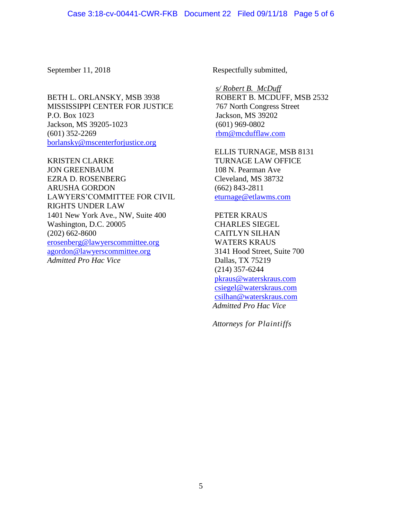BETH L. ORLANSKY, MSB 3938 MISSISSIPPI CENTER FOR JUSTICE P.O. Box 1023 Jackson, MS 39205-1023 (601) 352-2269 [borlansky@mscenterforjustice.org](mailto:borlansky@mscenterforjustice.org)

KRISTEN CLARKE JON GREENBAUM EZRA D. ROSENBERG ARUSHA GORDON LAWYERS'COMMITTEE FOR CIVIL RIGHTS UNDER LAW 1401 New York Ave., NW, Suite 400 Washington, D.C. 20005 (202) 662-8600 [erosenberg@lawyerscommittee.org](mailto:erosenberg@lawyerscommittee.org) [agordon@lawyerscommittee.org](mailto:agordon@lawyerscommittee.org) *Admitted Pro Hac Vice*

September 11, 2018 Respectfully submitted,

*s/ Robert B. McDuff* ROBERT B. MCDUFF, MSB 2532 767 North Congress Street Jackson, MS 39202 (601) 969-0802 [rbm@mcdufflaw.com](mailto:rbm@mcdufflaw.com)

ELLIS TURNAGE, MSB 8131 TURNAGE LAW OFFICE 108 N. Pearman Ave Cleveland, MS 38732 (662) 843-2811 [eturnage@etlawms.com](mailto:eturnage@etlawms.com)

PETER KRAUS CHARLES SIEGEL CAITLYN SILHAN WATERS KRAUS 3141 Hood Street, Suite 700 Dallas, TX 75219 (214) 357-6244 [pkraus@waterskraus.com](mailto:pkraus@waterskraus.com) [csiegel@waterskraus.com](mailto:csiegel@waterskraus.com) [csilhan@waterskraus.com](mailto:csilhan@waterskraus.com) *Admitted Pro Hac Vice*

*Attorneys for Plaintiffs*